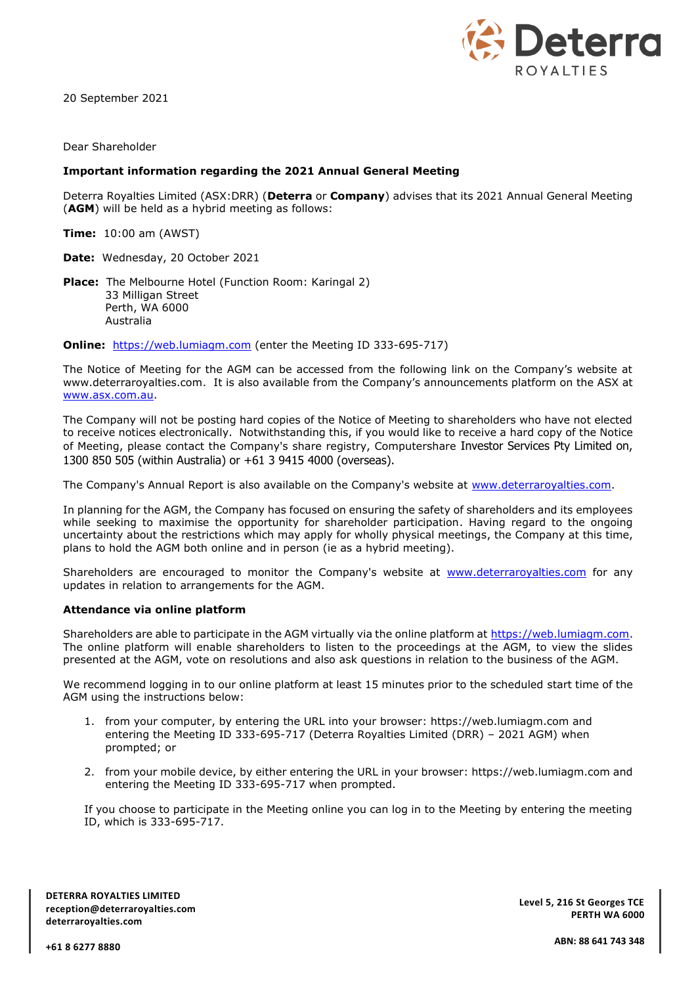

20 September 2021

Dear Shareholder

## **Important information regarding the 2021 Annual General Meeting**

Deterra Royalties Limited (ASX:DRR) (**Deterra** or **Company**) advises that its 2021 Annual General Meeting (**AGM**) will be held as a hybrid meeting as follows:

**Time:** 10:00 am (AWST)

**Date:** Wednesday, 20 October 2021

**Place:** The Melbourne Hotel (Function Room: Karingal 2) 33 Milligan Street Perth, WA 6000 Australia

**Online:** [https://web.lumiagm.com](https://web.lumiagm.com/) (enter the Meeting ID 333-695-717)

The Notice of Meeting for the AGM can be accessed from the following link on the Company's website at www.deterraroyalties.com. It is also available from the Company's announcements platform on the ASX at [www.asx.com.au.](http://www.asx.com.au/)

The Company will not be posting hard copies of the Notice of Meeting to shareholders who have not elected to receive notices electronically. Notwithstanding this, if you would like to receive a hard copy of the Notice of Meeting, please contact the Company's share registry, Computershare Investor Services Pty Limited on, 1300 850 505 (within Australia) or +61 3 9415 4000 (overseas).

The Company's Annual Report is also available on the Company's website at [www.deterraroyalties.com.](http://www.deterraroyalties.com/)

In planning for the AGM, the Company has focused on ensuring the safety of shareholders and its employees while seeking to maximise the opportunity for shareholder participation. Having regard to the ongoing uncertainty about the restrictions which may apply for wholly physical meetings, the Company at this time, plans to hold the AGM both online and in person (ie as a hybrid meeting).

Shareholders are encouraged to monitor the Company's website at [www.deterraroyalties.com](http://www.deterraroyalties.com/) for any updates in relation to arrangements for the AGM.

## **Attendance via online platform**

Shareholders are able to participate in the AGM virtually via the online platform at [https://web.lumiagm.com.](https://web.lumiagm.com/) The online platform will enable shareholders to listen to the proceedings at the AGM, to view the slides presented at the AGM, vote on resolutions and also ask questions in relation to the business of the AGM.

We recommend logging in to our online platform at least 15 minutes prior to the scheduled start time of the AGM using the instructions below:

- 1. from your computer, by entering the URL into your browser: https://web.lumiagm.com and entering the Meeting ID 333-695-717 (Deterra Royalties Limited (DRR) – 2021 AGM) when prompted; or
- 2. from your mobile device, by either entering the URL in your browser: https://web.lumiagm.com and entering the Meeting ID 333-695-717 when prompted.

If you choose to participate in the Meeting online you can log in to the Meeting by entering the meeting ID, which is 333-695-717.

**DETERRA ROYALTIES LIMITED reception@deterraroyalties.com deterraroyalties.com**

**Level 5, 216 St Georges TCE PERTH WA 6000**